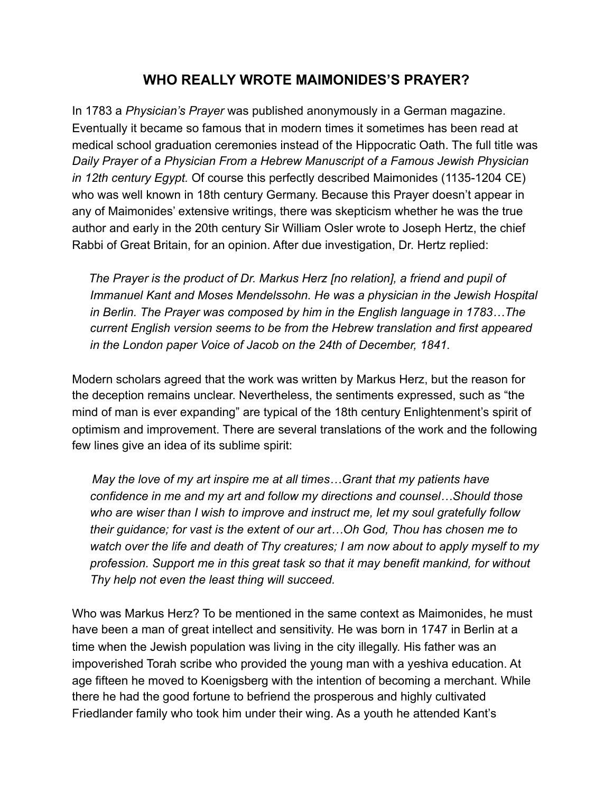## **WHO REALLY WROTE MAIMONIDES'S PRAYER?**

In 1783 a *Physician's Prayer* was published anonymously in a German magazine. Eventually it became so famous that in modern times it sometimes has been read at medical school graduation ceremonies instead of the Hippocratic Oath. The full title was *Daily Prayer of a Physician From a Hebrew Manuscript of a Famous Jewish Physician in 12th century Egypt.* Of course this perfectly described Maimonides (1135-1204 CE) who was well known in 18th century Germany. Because this Prayer doesn't appear in any of Maimonides' extensive writings, there was skepticism whether he was the true author and early in the 20th century Sir William Osler wrote to Joseph Hertz, the chief Rabbi of Great Britain, for an opinion. After due investigation, Dr. Hertz replied:

 *The Prayer is the product of Dr. Markus Herz [no relation], a friend and pupil of Immanuel Kant and Moses Mendelssohn. He was a physician in the Jewish Hospital in Berlin. The Prayer was composed by him in the English language in 1783…The current English version seems to be from the Hebrew translation and first appeared in the London paper Voice of Jacob on the 24th of December, 1841.* 

Modern scholars agreed that the work was written by Markus Herz, but the reason for the deception remains unclear. Nevertheless, the sentiments expressed, such as "the mind of man is ever expanding" are typical of the 18th century Enlightenment's spirit of optimism and improvement. There are several translations of the work and the following few lines give an idea of its sublime spirit:

 *May the love of my art inspire me at all times…Grant that my patients have confidence in me and my art and follow my directions and counsel…Should those who are wiser than I wish to improve and instruct me, let my soul gratefully follow their guidance; for vast is the extent of our art…Oh God, Thou has chosen me to watch over the life and death of Thy creatures; I am now about to apply myself to my profession. Support me in this great task so that it may benefit mankind, for without Thy help not even the least thing will succeed.* 

Who was Markus Herz? To be mentioned in the same context as Maimonides, he must have been a man of great intellect and sensitivity. He was born in 1747 in Berlin at a time when the Jewish population was living in the city illegally. His father was an impoverished Torah scribe who provided the young man with a yeshiva education. At age fifteen he moved to Koenigsberg with the intention of becoming a merchant. While there he had the good fortune to befriend the prosperous and highly cultivated Friedlander family who took him under their wing. As a youth he attended Kant's